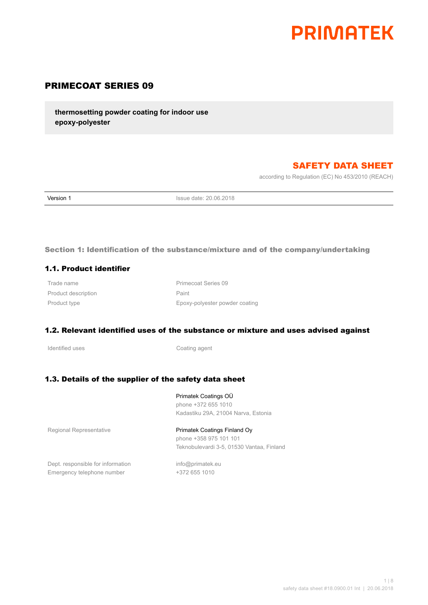# **PRIMATEK**

## PRIMECOAT SERIES 09

**thermosetting powder coating for indoor use epoxy-polyester**

## SAFETY DATA SHEET

according to Regulation (EC) No 453/2010 (REACH)

**Version 1 Issue date: 20.06.2018** 

## Section 1: Identification of the substance/mixture and of the company/undertaking

#### 1.1. Product identifier

Product description **Paint** 

Trade name **Primecoat Series** 09 Product type **Epoxy-polyester powder coating** Epoxy-polyester powder coating

## 1.2. Relevant identified uses of the substance or mixture and uses advised against

Identified uses **Coating agent** 

## 1.3. Details of the supplier of the safety data sheet

Primatek Coatings OÜ phone +372 655 1010 Kadastiku 29A, 21004 Narva, Estonia

Regional Representative **Primatek Coatings Finland Oy** 

## phone +358 975 101 101

Teknobulevardi 3-5, 01530 Vantaa, Finland

Dept. responsible for information info@primatek.eu Emergency telephone number +372 655 1010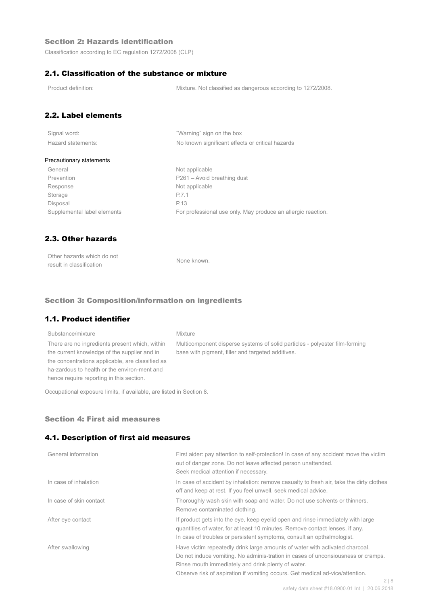## Section 2: Hazards identification

Classification according to EC regulation 1272/2008 (CLP)

## 2.1. Classification of the substance or mixture

Product definition: Mixture. Not classified as dangerous according to 1272/2008.

## 2.2. Label elements

| Signal word:       |  |
|--------------------|--|
| Hazard statements: |  |

"Warning" sign on the box No known significant effects or critical hazards

#### Precautionary statements

General Not applicable Prevention Prevention P261 – Avoid breathing dust Response Not applicable Storage P.7.1 Disposal P.13

Supplemental label elements For professional use only. May produce an allergic reaction.

## 2.3. Other hazards

| Other hazards which do not | None known. |
|----------------------------|-------------|
| result in classification   |             |

#### Section 3: Composition/information on ingredients

## 1.1. Product identifier

## Substance/mixture Mixture There are no ingredients present which, within the current knowledge of the supplier and in the concentrations applicable, are classified as ha-zardous to health or the environ-ment and hence require reporting in this section.

Multicomponent disperse systems of solid particles - polyester film-forming base with pigment, filler and targeted additives.

Occupational exposure limits, if available, are listed in Section 8.

#### Section 4: First aid measures

#### 4.1. Description of first aid measures

| General information     | First aider: pay attention to self-protection! In case of any accident move the victim<br>out of danger zone. Do not leave affected person unattended.<br>Seek medical attention if necessary.                                                                                                                        |
|-------------------------|-----------------------------------------------------------------------------------------------------------------------------------------------------------------------------------------------------------------------------------------------------------------------------------------------------------------------|
| In case of inhalation   | In case of accident by inhalation: remove casualty to fresh air, take the dirty clothes<br>off and keep at rest. If you feel unwell, seek medical advice.                                                                                                                                                             |
| In case of skin contact | Thoroughly wash skin with soap and water. Do not use solvents or thinners.<br>Remove contaminated clothing.                                                                                                                                                                                                           |
| After eye contact       | If product gets into the eye, keep eyelid open and rinse immediately with large<br>guantities of water, for at least 10 minutes. Remove contact lenses, if any.<br>In case of troubles or persistent symptoms, consult an opthalmologist.                                                                             |
| After swallowing        | Have victim repeatedly drink large amounts of water with activated charcoal.<br>Do not induce vomiting. No adminis-tration in cases of unconsiousness or cramps.<br>Rinse mouth immediately and drink plenty of water.<br>Observe risk of aspiration if vomiting occurs. Get medical ad-vice/attention.<br>$\bigcirc$ |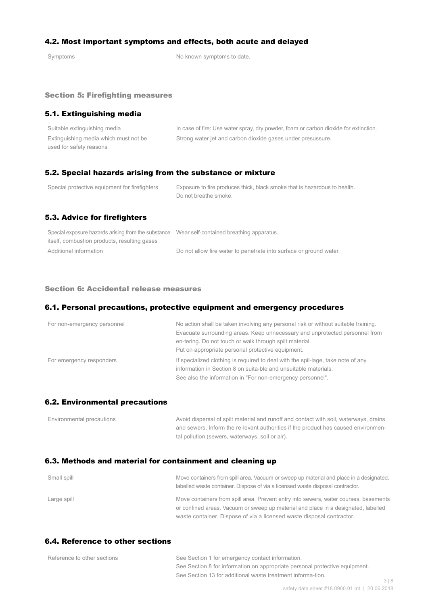## 4.2. Most important symptoms and effects, both acute and delayed

Symptoms Symptoms of the Symptoms to date.

#### Section 5: Firefighting measures

## 5.1. Extinguishing media

| Suitable extinguishing media          | In case of fire: Use water spray, dry powder, foam or carbon dioxide for extinction. |
|---------------------------------------|--------------------------------------------------------------------------------------|
| Extinguishing media which must not be | Strong water jet and carbon dioxide gases under presussure.                          |
| used for safety reasons               |                                                                                      |

## 5.2. Special hazards arising from the substance or mixture

| Special protective equipment for firefighters | Exposure to fire produces thick, black smoke that is hazardous to health.<br>Do not breathe smoke. |
|-----------------------------------------------|----------------------------------------------------------------------------------------------------|
| 5.3. Advice for firefighters                  |                                                                                                    |

| Special exposure hazards arising from the substance Wear self-contained breathing apparatus. |                                                                    |
|----------------------------------------------------------------------------------------------|--------------------------------------------------------------------|
| itself, combustion products, resulting gases                                                 |                                                                    |
| Additional information                                                                       | Do not allow fire water to penetrate into surface or ground water. |

#### Section 6: Accidental release measures

#### 6.1. Personal precautions, protective equipment and emergency procedures

| For non-emergency personnel | No action shall be taken involving any personal risk or without suitable training.<br>Evacuate surrounding areas. Keep unnecessary and unprotected personnel from<br>en-tering. Do not touch or walk through spilt material.<br>Put on appropriate personal protective equipment. |
|-----------------------------|-----------------------------------------------------------------------------------------------------------------------------------------------------------------------------------------------------------------------------------------------------------------------------------|
| For emergency responders    | If specialized clothing is required to deal with the spil-lage, take note of any<br>information in Section 8 on suita-ble and unsuitable materials.<br>See also the information in "For non-emergency personnel".                                                                 |

#### 6.2. Environmental precautions

| Environmental precautions | Avoid dispersal of spilt material and runoff and contact with soil, waterways, drains |
|---------------------------|---------------------------------------------------------------------------------------|
|                           | and sewers. Inform the re-levant authorities if the product has caused environmen-    |
|                           | tal pollution (sewers, waterways, soil or air).                                       |

## 6.3. Methods and material for containment and cleaning up

| Small spill | Move containers from spill area. Vacuum or sweep up material and place in a designated,<br>labelled waste container. Dispose of via a licensed waste disposal contractor.  |
|-------------|----------------------------------------------------------------------------------------------------------------------------------------------------------------------------|
| Large spill | Move containers from spill area. Prevent entry into sewers, water courses, basements<br>or confined areas. Vacuum or sweep up material and place in a designated, labelled |
|             | waste container. Dispose of via a licensed waste disposal contractor.                                                                                                      |

## 6.4. Reference to other sections

| Reference to other sections | See Section 1 for emergency contact information.                            |     |
|-----------------------------|-----------------------------------------------------------------------------|-----|
|                             | See Section 8 for information on appropriate personal protective equipment. |     |
|                             | See Section 13 for additional waste treatment informa-tion.                 |     |
|                             |                                                                             | 318 |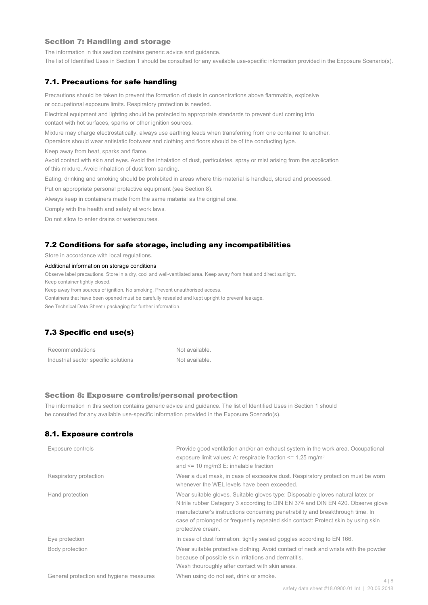#### Section 7: Handling and storage

The information in this section contains generic advice and guidance.

The list of Identified Uses in Section 1 should be consulted for any available use-specific information provided in the Exposure Scenario(s).

#### 7.1. Precautions for safe handling

Precautions should be taken to prevent the formation of dusts in concentrations above flammable, explosive or occupational exposure limits. Respiratory protection is needed.

Electrical equipment and lighting should be protected to appropriate standards to prevent dust coming into contact with hot surfaces, sparks or other ignition sources.

Mixture may charge electrostatically: always use earthing leads when transferring from one container to another.

Operators should wear antistatic footwear and clothing and floors should be of the conducting type.

Keep away from heat, sparks and flame.

Avoid contact with skin and eyes. Avoid the inhalation of dust, particulates, spray or mist arising from the application of this mixture. Avoid inhalation of dust from sanding.

Eating, drinking and smoking should be prohibited in areas where this material is handled, stored and processed.

Put on appropriate personal protective equipment (see Section 8).

Always keep in containers made from the same material as the original one.

Comply with the health and safety at work laws.

Do not allow to enter drains or watercourses.

#### 7.2 Conditions for safe storage, including any incompatibilities

Store in accordance with local regulations.

#### Additional information on storage conditions

Observe label precautions. Store in a dry, cool and well-ventilated area. Keep away from heat and direct sunlight.

Keep container tightly closed.

Keep away from sources of ignition. No smoking. Prevent unauthorised access.

Containers that have been opened must be carefully resealed and kept upright to prevent leakage.

See Technical Data Sheet / packaging for further information.

## 7.3 Specific end use(s)

| Recommendations                      | Not available. |
|--------------------------------------|----------------|
| Industrial sector specific solutions | Not available. |

#### Section 8: Exposure controls/personal protection

The information in this section contains generic advice and guidance. The list of Identified Uses in Section 1 should be consulted for any available use-specific information provided in the Exposure Scenario(s).

#### 8.1. Exposure controls

| Exposure controls                       | Provide good ventilation and/or an exhaust system in the work area. Occupational<br>exposure limit values: A: respirable fraction $\leq$ 1.25 mg/m <sup>3</sup><br>and $\le$ 10 mg/m3 E: inhalable fraction                                                                                                                                                   |       |
|-----------------------------------------|---------------------------------------------------------------------------------------------------------------------------------------------------------------------------------------------------------------------------------------------------------------------------------------------------------------------------------------------------------------|-------|
| Respiratory protection                  | Wear a dust mask, in case of excessive dust. Respiratory protection must be worn<br>whenever the WEL levels have been exceeded.                                                                                                                                                                                                                               |       |
| Hand protection                         | Wear suitable gloves. Suitable gloves type: Disposable gloves natural latex or<br>Nitrile rubber Category 3 according to DIN EN 374 and DIN EN 420. Observe glove<br>manufacturer's instructions concerning penetrability and breakthrough time. In<br>case of prolonged or frequently repeated skin contact: Protect skin by using skin<br>protective cream. |       |
| Eye protection                          | In case of dust formation: tightly sealed goggles according to EN 166.                                                                                                                                                                                                                                                                                        |       |
| Body protection                         | Wear suitable protective clothing. Avoid contact of neck and wrists with the powder<br>because of possible skin irritations and dermatitis.<br>Wash thouroughly after contact with skin areas.                                                                                                                                                                |       |
| General protection and hygiene measures | When using do not eat, drink or smoke.                                                                                                                                                                                                                                                                                                                        | 4   8 |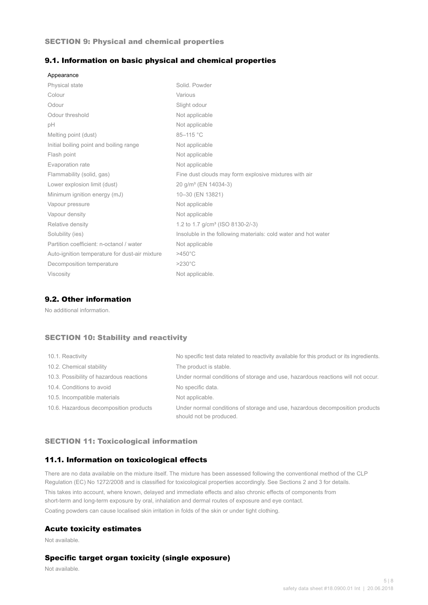#### SECTION 9: Physical and chemical properties

#### 9.1. Information on basic physical and chemical properties

| Appearance                                     |                                                                |
|------------------------------------------------|----------------------------------------------------------------|
| <b>Physical state</b>                          | Solid, Powder                                                  |
| Colour                                         | Various                                                        |
| Odour                                          | Slight odour                                                   |
| Odour threshold                                | Not applicable                                                 |
| рH                                             | Not applicable                                                 |
| Melting point (dust)                           | 85-115 °C                                                      |
| Initial boiling point and boiling range        | Not applicable                                                 |
| Flash point                                    | Not applicable                                                 |
| Evaporation rate                               | Not applicable                                                 |
| Flammability (solid, gas)                      | Fine dust clouds may form explosive mixtures with air          |
| Lower explosion limit (dust)                   | 20 g/m <sup>3</sup> (EN 14034-3)                               |
| Minimum ignition energy (mJ)                   | 10-30 (EN 13821)                                               |
| Vapour pressure                                | Not applicable                                                 |
| Vapour density                                 | Not applicable                                                 |
| Relative density                               | 1.2 to 1.7 g/cm <sup>3</sup> (ISO 8130-2/-3)                   |
| Solubility (ies)                               | Insoluble in the following materials: cold water and hot water |
| Partition coefficient: n-octanol / water       | Not applicable                                                 |
| Auto-ignition temperature for dust-air mixture | $>450^{\circ}$ C                                               |
| Decomposition temperature                      | $>230^{\circ}$ C                                               |
| <b>Viscosity</b>                               | Not applicable.                                                |

## 9.2. Other information

No additional information.

## SECTION 10: Stability and reactivity

| 10.1. Reactivity                         | No specific test data related to reactivity available for this product or its ingredients.              |
|------------------------------------------|---------------------------------------------------------------------------------------------------------|
| 10.2. Chemical stability                 | The product is stable.                                                                                  |
| 10.3. Possibility of hazardous reactions | Under normal conditions of storage and use, hazardous reactions will not occur.                         |
| 10.4. Conditions to avoid                | No specific data.                                                                                       |
| 10.5. Incompatible materials             | Not applicable.                                                                                         |
| 10.6. Hazardous decomposition products   | Under normal conditions of storage and use, hazardous decomposition products<br>should not be produced. |

#### SECTION 11: Toxicological information

## 11.1. Information on toxicological effects

There are no data available on the mixture itself. The mixture has been assessed following the conventional method of the CLP Regulation (EC) No 1272/2008 and is classified for toxicological properties accordingly. See Sections 2 and 3 for details. This takes into account, where known, delayed and immediate effects and also chronic effects of components from short-term and long-term exposure by oral, inhalation and dermal routes of exposure and eye contact. Coating powders can cause localised skin irritation in folds of the skin or under tight clothing.

#### Acute toxicity estimates

Not available.

## Specific target organ toxicity (single exposure)

Not available.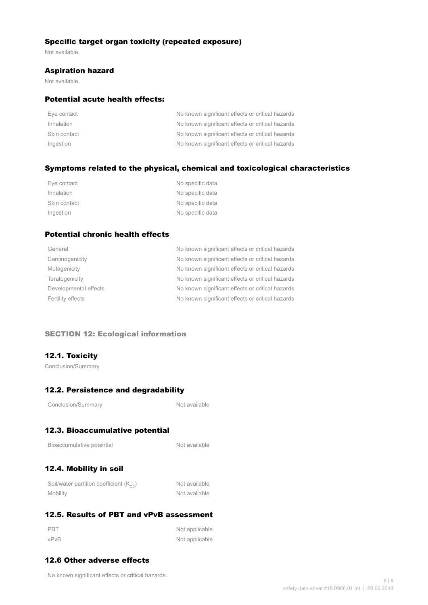## Specific target organ toxicity (repeated exposure)

Not available.

#### Aspiration hazard

Not available.

## Potential acute health effects:

| Eye contact  | No known significant effects or critical hazards |
|--------------|--------------------------------------------------|
| Inhalation   | No known significant effects or critical hazards |
| Skin contact | No known significant effects or critical hazards |
| Ingestion    | No known significant effects or critical hazards |

## Symptoms related to the physical, chemical and toxicological characteristics

| Eye contact  | No specific data |
|--------------|------------------|
| Inhalation   | No specific data |
| Skin contact | No specific data |
| Ingestion    | No specific data |

## Potential chronic health effects

| General               | No known significant effects or critical hazards |
|-----------------------|--------------------------------------------------|
| Carcinogenicity       | No known significant effects or critical hazards |
| Mutagenicity          | No known significant effects or critical hazards |
| Teratogenicity        | No known significant effects or critical hazards |
| Developmental effects | No known significant effects or critical hazards |
| Fertility effects     | No known significant effects or critical hazards |
|                       |                                                  |

## SECTION 12: Ecological information

## 12.1. Toxicity

Conclusion/Summary

## 12.2. Persistence and degradability

Not available

## 12.3. Bioaccumulative potential

| Bioaccumulative potential |  |
|---------------------------|--|
|---------------------------|--|

Not available

## 12.4. Mobility in soil

| Soil/water partition coefficient $(K_{\text{oc}})$ | Not available |
|----------------------------------------------------|---------------|
| Mobility                                           | Not available |

## 12.5. Results of PBT and vPvB assessment

| PBT  | Not applicable |
|------|----------------|
| vPvB | Not applicable |

## 12.6 Other adverse effects

No known significant effects or critical hazards.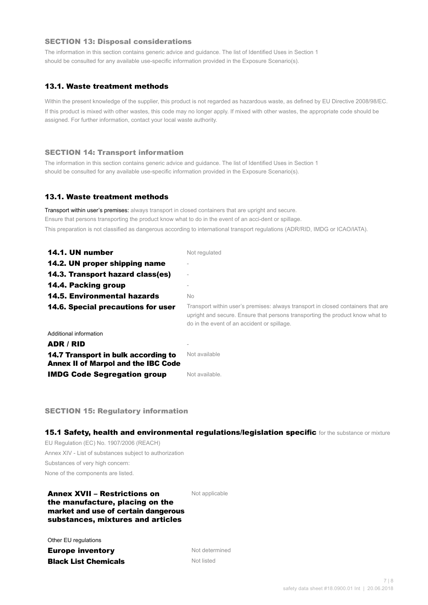#### SECTION 13: Disposal considerations

The information in this section contains generic advice and guidance. The list of Identified Uses in Section 1 should be consulted for any available use-specific information provided in the Exposure Scenario(s).

## 13.1. Waste treatment methods

Within the present knowledge of the supplier, this product is not regarded as hazardous waste, as defined by EU Directive 2008/98/EC. If this product is mixed with other wastes, this code may no longer apply. If mixed with other wastes, the appropriate code should be assigned. For further information, contact your local waste authority.

#### SECTION 14: Transport information

The information in this section contains generic advice and guidance. The list of Identified Uses in Section 1 should be consulted for any available use-specific information provided in the Exposure Scenario(s).

#### 13.1. Waste treatment methods

Transport within user's premises: always transport in closed containers that are upright and secure. Ensure that persons transporting the product know what to do in the event of an acci-dent or spillage. This preparation is not classified as dangerous according to international transport regulations (ADR/RID, IMDG or ICAO/IATA).

| 14.1. UN number                                                                   | Not regulated                                                                                                                                                                                                    |
|-----------------------------------------------------------------------------------|------------------------------------------------------------------------------------------------------------------------------------------------------------------------------------------------------------------|
| 14.2. UN proper shipping name                                                     |                                                                                                                                                                                                                  |
| 14.3. Transport hazard class(es)                                                  |                                                                                                                                                                                                                  |
| 14.4. Packing group                                                               |                                                                                                                                                                                                                  |
| <b>14.5. Environmental hazards</b>                                                | No.                                                                                                                                                                                                              |
| 14.6. Special precautions for user                                                | Transport within user's premises: always transport in closed containers that are<br>upright and secure. Ensure that persons transporting the product know what to<br>do in the event of an accident or spillage. |
| Additional information                                                            |                                                                                                                                                                                                                  |
| ADR / RID                                                                         |                                                                                                                                                                                                                  |
| 14.7 Transport in bulk according to<br><b>Annex II of Marpol and the IBC Code</b> | Not available                                                                                                                                                                                                    |
| <b>IMDG Code Segregation group</b>                                                | Not available.                                                                                                                                                                                                   |

SECTION 15: Regulatory information

15.1 Safety, health and environmental regulations/legislation specific for the substance or mixture

EU Regulation (EC) No. 1907/2006 (REACH) Annex XIV - List of substances subject to authorization Substances of very high concern: None of the components are listed.

## Annex XVII – Restrictions on the manufacture, placing on the market and use of certain dangerous substances, mixtures and articles

Not applicable

Other EU regulations

**Europe inventory** Not determined **Black List Chemicals** Not listed